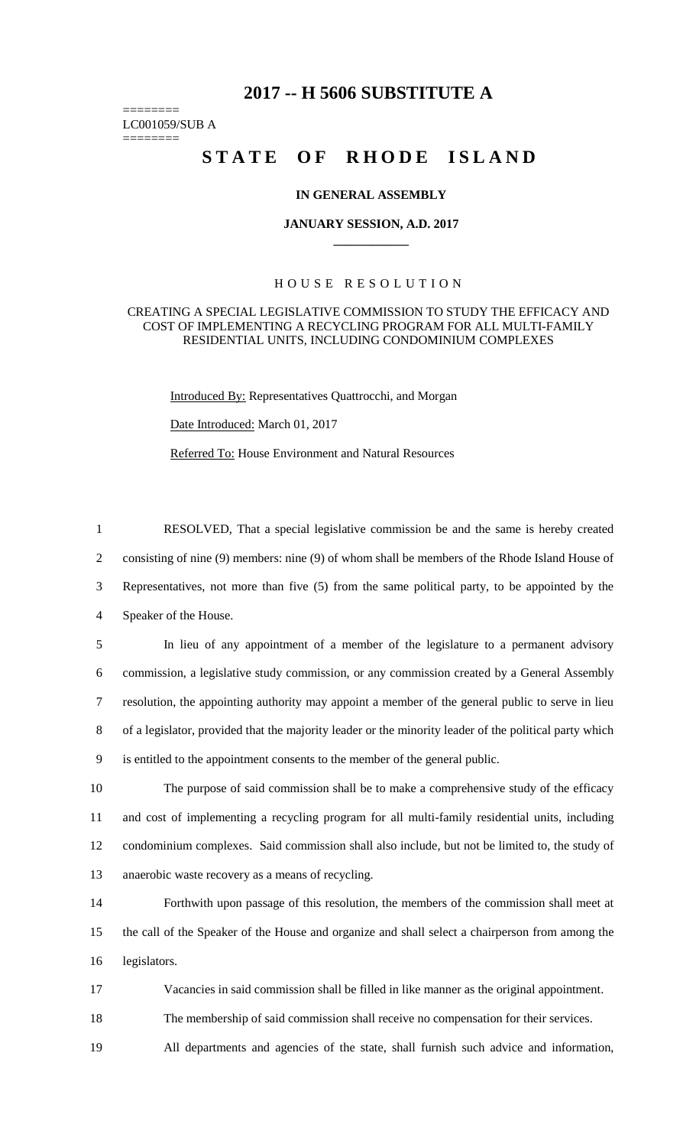## **2017 -- H 5606 SUBSTITUTE A**

======== LC001059/SUB A ========

# **STATE OF RHODE ISLAND**

#### **IN GENERAL ASSEMBLY**

#### **JANUARY SESSION, A.D. 2017 \_\_\_\_\_\_\_\_\_\_\_\_**

### H O U S E R E S O L U T I O N

#### CREATING A SPECIAL LEGISLATIVE COMMISSION TO STUDY THE EFFICACY AND COST OF IMPLEMENTING A RECYCLING PROGRAM FOR ALL MULTI-FAMILY RESIDENTIAL UNITS, INCLUDING CONDOMINIUM COMPLEXES

Introduced By: Representatives Quattrocchi, and Morgan

Date Introduced: March 01, 2017

Referred To: House Environment and Natural Resources

 RESOLVED, That a special legislative commission be and the same is hereby created consisting of nine (9) members: nine (9) of whom shall be members of the Rhode Island House of Representatives, not more than five (5) from the same political party, to be appointed by the Speaker of the House. In lieu of any appointment of a member of the legislature to a permanent advisory commission, a legislative study commission, or any commission created by a General Assembly resolution, the appointing authority may appoint a member of the general public to serve in lieu of a legislator, provided that the majority leader or the minority leader of the political party which is entitled to the appointment consents to the member of the general public. The purpose of said commission shall be to make a comprehensive study of the efficacy

11 and cost of implementing a recycling program for all multi-family residential units, including 12 condominium complexes. Said commission shall also include, but not be limited to, the study of 13 anaerobic waste recovery as a means of recycling.

14 Forthwith upon passage of this resolution, the members of the commission shall meet at 15 the call of the Speaker of the House and organize and shall select a chairperson from among the 16 legislators.

17 Vacancies in said commission shall be filled in like manner as the original appointment.

18 The membership of said commission shall receive no compensation for their services.

19 All departments and agencies of the state, shall furnish such advice and information,